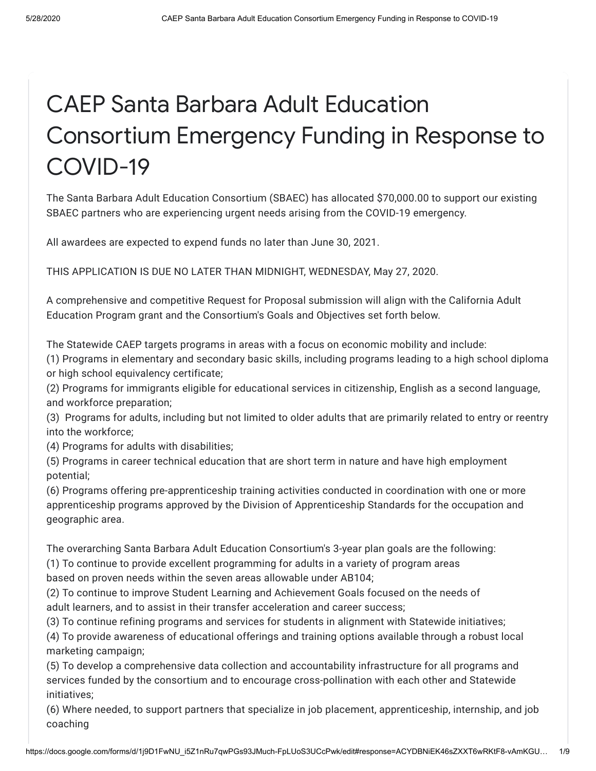# CAEP Santa Barbara Adult Education Consortium Emergency Funding in Response to COVID-19

The Santa Barbara Adult Education Consortium (SBAEC) has allocated \$70,000.00 to support our existing SBAEC partners who are experiencing urgent needs arising from the COVID-19 emergency.

All awardees are expected to expend funds no later than June 30, 2021.

THIS APPLICATION IS DUE NO LATER THAN MIDNIGHT, WEDNESDAY, May 27, 2020.

A comprehensive and competitive Request for Proposal submission will align with the California Adult Education Program grant and the Consortium's Goals and Objectives set forth below.

The Statewide CAEP targets programs in areas with a focus on economic mobility and include:

(1) Programs in elementary and secondary basic skills, including programs leading to a high school diploma or high school equivalency certificate;

(2) Programs for immigrants eligible for educational services in citizenship, English as a second language, and workforce preparation;

(3) Programs for adults, including but not limited to older adults that are primarily related to entry or reentry into the workforce;

(4) Programs for adults with disabilities;

(5) Programs in career technical education that are short term in nature and have high employment potential;

(6) Programs offering pre-apprenticeship training activities conducted in coordination with one or more apprenticeship programs approved by the Division of Apprenticeship Standards for the occupation and geographic area.

The overarching Santa Barbara Adult Education Consortium's 3-year plan goals are the following:

(1) To continue to provide excellent programming for adults in a variety of program areas

based on proven needs within the seven areas allowable under AB104;

(2) To continue to improve Student Learning and Achievement Goals focused on the needs of adult learners, and to assist in their transfer acceleration and career success;

(3) To continue refining programs and services for students in alignment with Statewide initiatives;

(4) To provide awareness of educational offerings and training options available through a robust local marketing campaign;

(5) To develop a comprehensive data collection and accountability infrastructure for all programs and services funded by the consortium and to encourage cross-pollination with each other and Statewide initiatives;

(6) Where needed, to support partners that specialize in job placement, apprenticeship, internship, and job coaching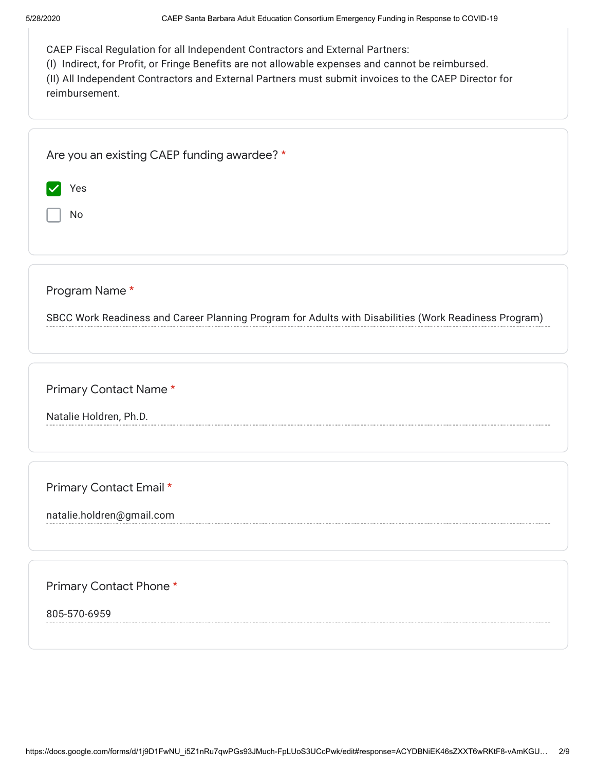| CAEP Fiscal Regulation for all Independent Contractors and External Partners: |  |  |
|-------------------------------------------------------------------------------|--|--|
|                                                                               |  |  |

(I) Indirect, for Profit, or Fringe Benefits are not allowable expenses and cannot be reimbursed.

(II) All Independent Contractors and External Partners must submit invoices to the CAEP Director for reimbursement.

|                | Are you an existing CAEP funding awardee? *                                                           |
|----------------|-------------------------------------------------------------------------------------------------------|
| Yes            |                                                                                                       |
| No             |                                                                                                       |
|                |                                                                                                       |
|                |                                                                                                       |
| Program Name * |                                                                                                       |
|                | SBCC Work Readiness and Career Planning Program for Adults with Disabilities (Work Readiness Program) |

Primary Contact Name \*

Natalie Holdren, Ph.D.

Primary Contact Email \*

natalie.holdren@gmail.com

Primary Contact Phone \*

805-570-6959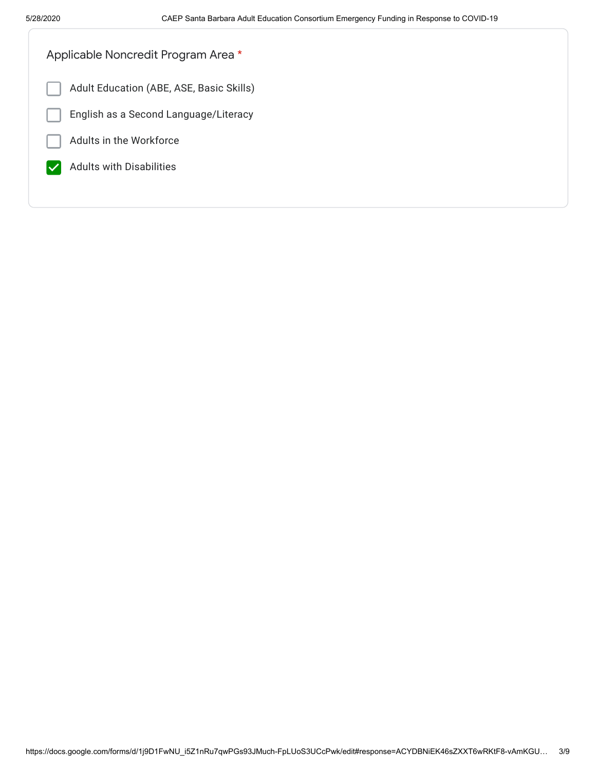| Applicable Noncredit Program Area *      |  |
|------------------------------------------|--|
| Adult Education (ABE, ASE, Basic Skills) |  |
| English as a Second Language/Literacy    |  |
| Adults in the Workforce                  |  |
| <b>Adults with Disabilities</b>          |  |
|                                          |  |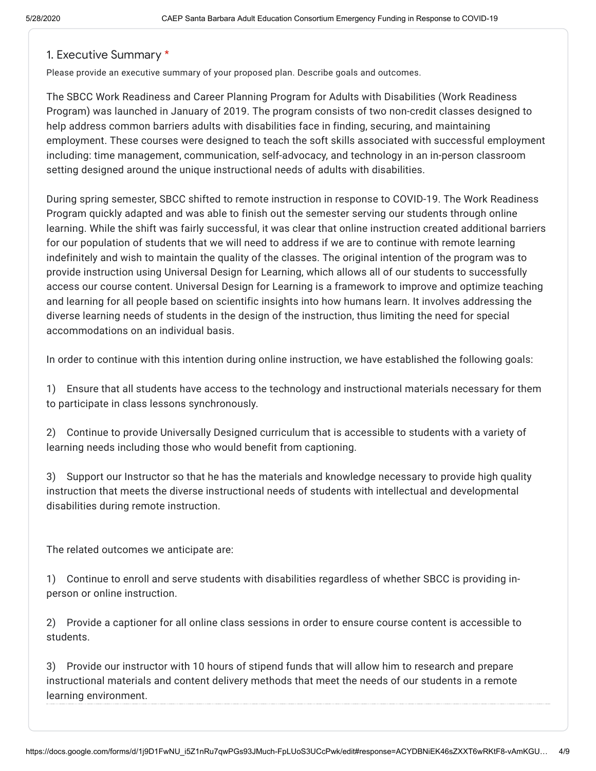#### 1. Executive Summary \*

Please provide an executive summary of your proposed plan. Describe goals and outcomes.

The SBCC Work Readiness and Career Planning Program for Adults with Disabilities (Work Readiness Program) was launched in January of 2019. The program consists of two non-credit classes designed to help address common barriers adults with disabilities face in finding, securing, and maintaining employment. These courses were designed to teach the soft skills associated with successful employment including: time management, communication, self-advocacy, and technology in an in-person classroom setting designed around the unique instructional needs of adults with disabilities.

During spring semester, SBCC shifted to remote instruction in response to COVID-19. The Work Readiness Program quickly adapted and was able to finish out the semester serving our students through online learning. While the shift was fairly successful, it was clear that online instruction created additional barriers for our population of students that we will need to address if we are to continue with remote learning indefinitely and wish to maintain the quality of the classes. The original intention of the program was to provide instruction using Universal Design for Learning, which allows all of our students to successfully access our course content. Universal Design for Learning is a framework to improve and optimize teaching and learning for all people based on scientific insights into how humans learn. It involves addressing the diverse learning needs of students in the design of the instruction, thus limiting the need for special accommodations on an individual basis.

In order to continue with this intention during online instruction, we have established the following goals:

1) Ensure that all students have access to the technology and instructional materials necessary for them to participate in class lessons synchronously.

2) Continue to provide Universally Designed curriculum that is accessible to students with a variety of learning needs including those who would benefit from captioning.

3) Support our Instructor so that he has the materials and knowledge necessary to provide high quality instruction that meets the diverse instructional needs of students with intellectual and developmental disabilities during remote instruction.

The related outcomes we anticipate are:

1) Continue to enroll and serve students with disabilities regardless of whether SBCC is providing inperson or online instruction.

2) Provide a captioner for all online class sessions in order to ensure course content is accessible to students.

3) Provide our instructor with 10 hours of stipend funds that will allow him to research and prepare instructional materials and content delivery methods that meet the needs of our students in a remote learning environment.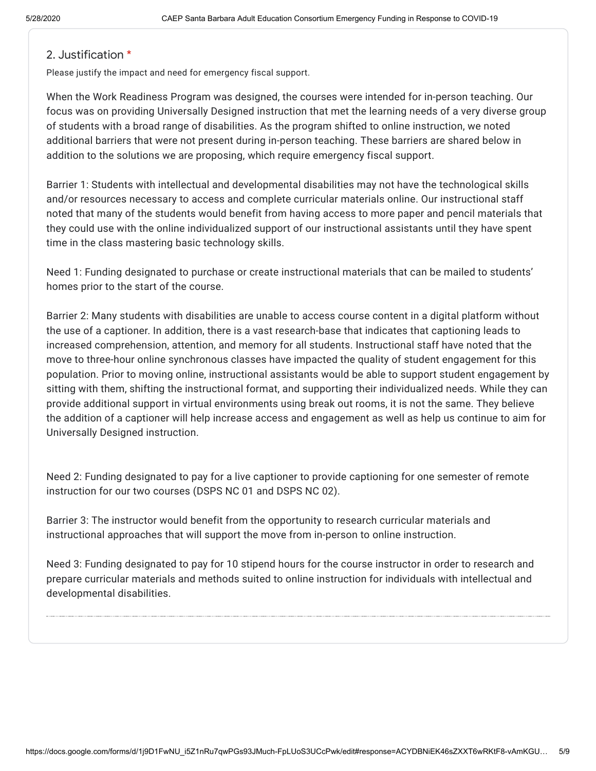## 2. Justification \*

Please justify the impact and need for emergency fiscal support.

When the Work Readiness Program was designed, the courses were intended for in-person teaching. Our focus was on providing Universally Designed instruction that met the learning needs of a very diverse group of students with a broad range of disabilities. As the program shifted to online instruction, we noted additional barriers that were not present during in-person teaching. These barriers are shared below in addition to the solutions we are proposing, which require emergency fiscal support.

Barrier 1: Students with intellectual and developmental disabilities may not have the technological skills and/or resources necessary to access and complete curricular materials online. Our instructional staff noted that many of the students would benefit from having access to more paper and pencil materials that they could use with the online individualized support of our instructional assistants until they have spent time in the class mastering basic technology skills.

Need 1: Funding designated to purchase or create instructional materials that can be mailed to students' homes prior to the start of the course.

Barrier 2: Many students with disabilities are unable to access course content in a digital platform without the use of a captioner. In addition, there is a vast research-base that indicates that captioning leads to increased comprehension, attention, and memory for all students. Instructional staff have noted that the move to three-hour online synchronous classes have impacted the quality of student engagement for this population. Prior to moving online, instructional assistants would be able to support student engagement by sitting with them, shifting the instructional format, and supporting their individualized needs. While they can provide additional support in virtual environments using break out rooms, it is not the same. They believe the addition of a captioner will help increase access and engagement as well as help us continue to aim for Universally Designed instruction.

Need 2: Funding designated to pay for a live captioner to provide captioning for one semester of remote instruction for our two courses (DSPS NC 01 and DSPS NC 02).

Barrier 3: The instructor would benefit from the opportunity to research curricular materials and instructional approaches that will support the move from in-person to online instruction.

Need 3: Funding designated to pay for 10 stipend hours for the course instructor in order to research and prepare curricular materials and methods suited to online instruction for individuals with intellectual and developmental disabilities.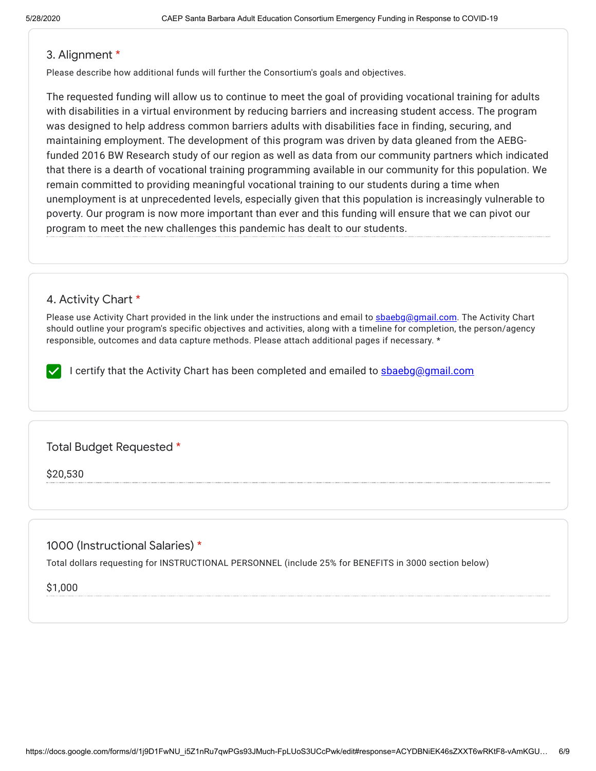#### 3. Alignment \*

Please describe how additional funds will further the Consortium's goals and objectives.

The requested funding will allow us to continue to meet the goal of providing vocational training for adults with disabilities in a virtual environment by reducing barriers and increasing student access. The program was designed to help address common barriers adults with disabilities face in finding, securing, and maintaining employment. The development of this program was driven by data gleaned from the AEBGfunded 2016 BW Research study of our region as well as data from our community partners which indicated that there is a dearth of vocational training programming available in our community for this population. We remain committed to providing meaningful vocational training to our students during a time when unemployment is at unprecedented levels, especially given that this population is increasingly vulnerable to poverty. Our program is now more important than ever and this funding will ensure that we can pivot our program to meet the new challenges this pandemic has dealt to our students.

## 4. Activity Chart \*

Please use Activity Chart provided in the link under the instructions and email to [sbaebg@gmail.com](mailto:sbaebg@gmail.com). The Activity Chart should outline your program's specific objectives and activities, along with a timeline for completion, the person/agency responsible, outcomes and data capture methods. Please attach additional pages if necessary. \*

I certify that the Activity Chart has been completed and emailed to shaebg@gmail.com

# Total Budget Requested \*

\$20,530

# 1000 (Instructional Salaries) \*

Total dollars requesting for INSTRUCTIONAL PERSONNEL (include 25% for BENEFITS in 3000 section below)

\$1,000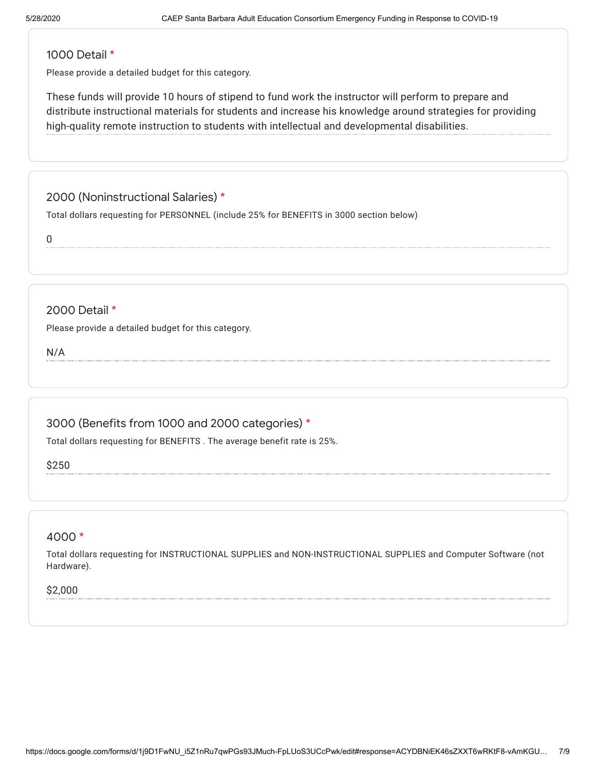#### 1000 Detail \*

Please provide a detailed budget for this category.

These funds will provide 10 hours of stipend to fund work the instructor will perform to prepare and distribute instructional materials for students and increase his knowledge around strategies for providing high-quality remote instruction to students with intellectual and developmental disabilities.

# 2000 (Noninstructional Salaries) \*

Total dollars requesting for PERSONNEL (include 25% for BENEFITS in 3000 section below)

0

## 2000 Detail \*

Please provide a detailed budget for this category.

N/A

# 3000 (Benefits from 1000 and 2000 categories) \*

Total dollars requesting for BENEFITS . The average benefit rate is 25%.

\$250

#### 4000 \*

Total dollars requesting for INSTRUCTIONAL SUPPLIES and NON-INSTRUCTIONAL SUPPLIES and Computer Software (not Hardware).

#### \$2,000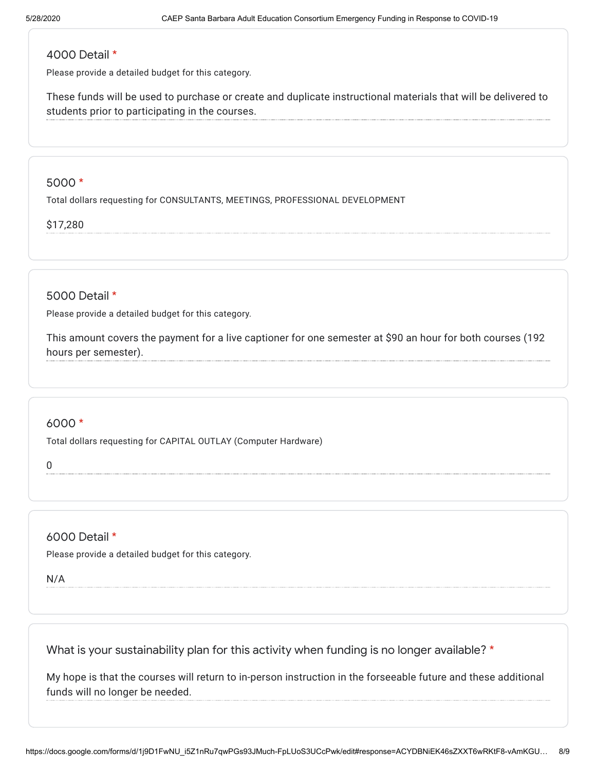# 4000 Detail \*

Please provide a detailed budget for this category.

These funds will be used to purchase or create and duplicate instructional materials that will be delivered to students prior to participating in the courses.

#### 5000 \*

Total dollars requesting for CONSULTANTS, MEETINGS, PROFESSIONAL DEVELOPMENT

#### \$17,280

5000 Detail \*

Please provide a detailed budget for this category.

This amount covers the payment for a live captioner for one semester at \$90 an hour for both courses (192 hours per semester).

#### 6000 \*

Total dollars requesting for CAPITAL OUTLAY (Computer Hardware)

0

6000 Detail \*

Please provide a detailed budget for this category.

N/A

What is your sustainability plan for this activity when funding is no longer available? \*

My hope is that the courses will return to in-person instruction in the forseeable future and these additional funds will no longer be needed.